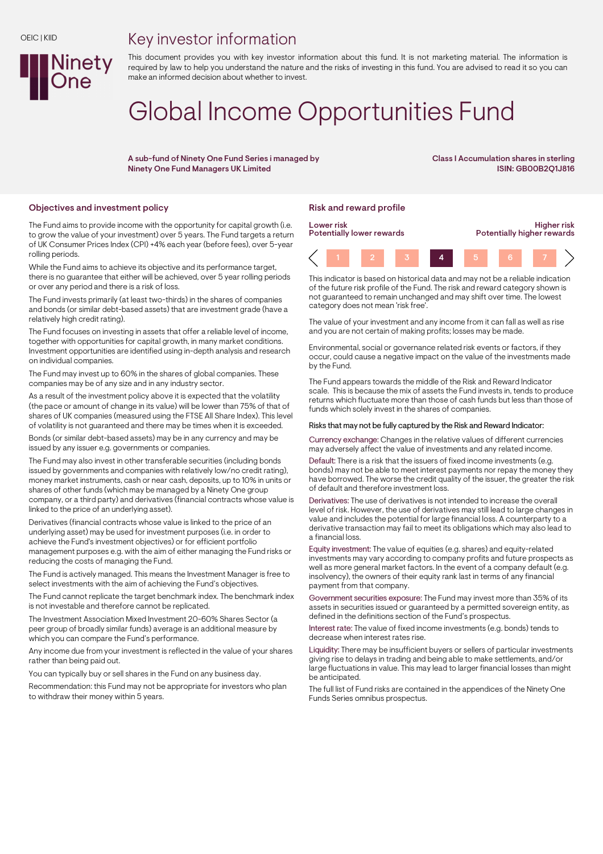## Key investor information



This document provides you with key investor information about this fund. It is not marketing material. The information is required by law to help you understand the nature and the risks of investing in this fund. You are advised to read it so you can make an informed decision about whether to invest.

# Global Income Opportunities Fund

A sub-fund of Ninety One Fund Series i managed by Ninety One Fund Managers UK Limited

Class I Accumulation shares in sterling ISIN: GB00B2Q1J816

### Objectives and investment policy **Risk and reward profile** Risk and reward profile

The Fund aims to provide income with the opportunity for capital growth (i.e. to grow the value of your investment) over 5 years. The Fund targets a return of UK Consumer Prices Index (CPI) +4% each year (before fees), over 5-year rolling periods.

While the Fund aims to achieve its objective and its performance target, there is no guarantee that either will be achieved, over 5 year rolling periods or over any period and there is a risk of loss.

The Fund invests primarily (at least two-thirds) in the shares of companies and bonds (or similar debt-based assets) that are investment grade (have a relatively high credit rating).

The Fund focuses on investing in assets that offer a reliable level of income, together with opportunities for capital growth, in many market conditions. Investment opportunities are identified using in-depth analysis and research on individual companies.

The Fund may invest up to 60% in the shares of global companies. These companies may be of any size and in any industry sector.

As a result of the investment policy above it is expected that the volatility (the pace or amount of change in its value) will be lower than 75% of that of shares of UK companies (measured using the FTSE All Share Index). This level of volatility is not guaranteed and there may be times when it is exceeded.

Bonds (or similar debt-based assets) may be in any currency and may be issued by any issuer e.g. governments or companies.

The Fund may also invest in other transferable securities (including bonds issued by governments and companies with relatively low/no credit rating), money market instruments, cash or near cash, deposits, up to 10% in units or shares of other funds (which may be managed by a Ninety One group company, or a third party) and derivatives (financial contracts whose value is linked to the price of an underlying asset).

Derivatives (financial contracts whose value is linked to the price of an underlying asset) may be used for investment purposes (i.e. in order to achieve the Fund's investment objectives) or for efficient portfolio management purposes e.g. with the aim of either managing the Fund risks or reducing the costs of managing the Fund.

The Fund is actively managed. This means the Investment Manager is free to select investments with the aim of achieving the Fund's objectives.

The Fund cannot replicate the target benchmark index. The benchmark index is not investable and therefore cannot be replicated.

The Investment Association Mixed Investment 20-60% Shares Sector (a peer group of broadly similar funds) average is an additional measure by which you can compare the Fund's performance.

Any income due from your investment is reflected in the value of your shares rather than being paid out.

You can typically buy or sell shares in the Fund on any business day.

Recommendation: this Fund may not be appropriate for investors who plan to withdraw their money within 5 years.



This indicator is based on historical data and may not be a reliable indication of the future risk profile of the Fund. The risk and reward category shown is not guaranteed to remain unchanged and may shift over time. The lowest category does not mean 'risk free'.

The value of your investment and any income from it can fall as well as rise and you are not certain of making profits; losses may be made.

Environmental, social or governance related risk events or factors, if they occur, could cause a negative impact on the value of the investments made by the Fund.

The Fund appears towards the middle of the Risk and Reward Indicator scale. This is because the mix of assets the Fund invests in, tends to produce returns which fluctuate more than those of cash funds but less than those of funds which solely invest in the shares of companies.

#### Risks that may not be fully captured by the Risk and Reward Indicator:

Currency exchange: Changes in the relative values of different currencies may adversely affect the value of investments and any related income.

Default: There is a risk that the issuers of fixed income investments (e.g. bonds) may not be able to meet interest payments nor repay the money they have borrowed. The worse the credit quality of the issuer, the greater the risk of default and therefore investment loss.

Derivatives: The use of derivatives is not intended to increase the overall level of risk. However, the use of derivatives may still lead to large changes in value and includes the potential for large financial loss. A counterparty to a derivative transaction may fail to meet its obligations which may also lead to a financial loss.

Equity investment: The value of equities (e.g. shares) and equity-related investments may vary according to company profits and future prospects as well as more general market factors. In the event of a company default (e.g. insolvency), the owners of their equity rank last in terms of any financial payment from that company.

Government securities exposure: The Fund may invest more than 35% of its assets in securities issued or guaranteed by a permitted sovereign entity, as defined in the definitions section of the Fund's prospectus.

Interest rate: The value of fixed income investments (e.g. bonds) tends to decrease when interest rates rise.

Liquidity: There may be insufficient buyers or sellers of particular investments giving rise to delays in trading and being able to make settlements, and/or large fluctuations in value. This may lead to larger financial losses than might be anticipated.

The full list of Fund risks are contained in the appendices of the Ninety One Funds Series omnibus prospectus.